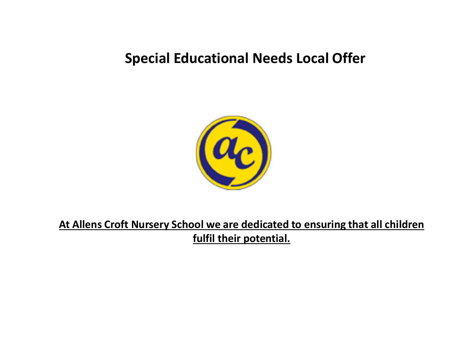# **Special Educational Needs Local Offer**



**At Allens Croft Nursery School we are dedicated to ensuring that all children fulfil their potential.**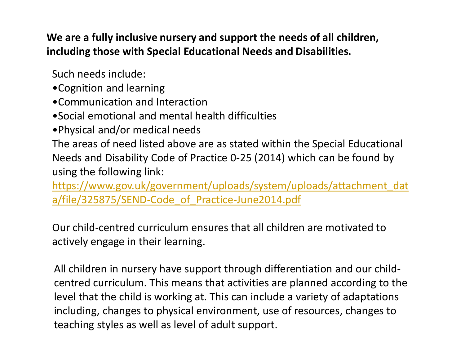**We are a fully inclusive nursery and support the needs of all children, including those with Special Educational Needs and Disabilities.**

Such needs include:

- •Cognition and learning
- •Communication and Interaction
- •Social emotional and mental health difficulties
- •Physical and/or medical needs

The areas of need listed above are as stated within the Special Educational Needs and Disability Code of Practice 0-25 (2014) which can be found by using the following link:

[https://www.gov.uk/government/uploads/system/uploads/attachment\\_dat](https://www.gov.uk/government/uploads/system/uploads/attachment_data/file/325875/SEND-Code_of_Practice-June2014.pdf) a/file/325875/SEND-Code\_of\_Practice-June2014.pdf

Our child-centred curriculum ensures that all children are motivated to actively engage in their learning.

All children in nursery have support through differentiation and our childcentred curriculum. This means that activities are planned according to the level that the child is working at. This can include a variety of adaptations including, changes to physical environment, use of resources, changes to teaching styles as well as level of adult support.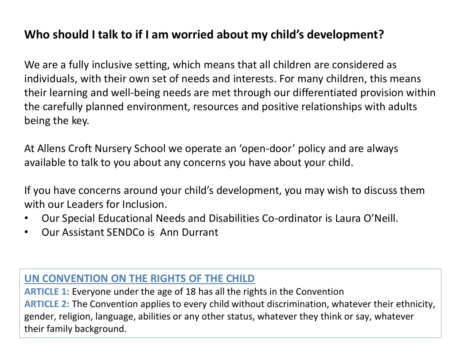## **Who should I talk to if I am worried about my child's development?**

We are a fully inclusive setting, which means that all children are considered as individuals, with their own set of needs and interests. For many children, this means their learning and well-being needs are met through our differentiated provision within the carefully planned environment, resources and positive relationships with adults being the key.

At Allens Croft Nursery School we operate an 'open-door' policy and are always available to talk to you about any concerns you have about your child.

If you have concerns around your child's development, you may wish to discuss them with our Leaders for Inclusion.

- Our Special Educational Needs and Disabilities Co-ordinator is Laura O'Neill.
- Our Assistant SENDCo is Ann Durrant

## **UN CONVENTION ON THE RIGHTS OF THE CHILD**

**ARTICLE 1:** Everyone under the age of 18 has all the rights in the Convention **ARTICLE 2:** The Convention applies to every child without discrimination, whatever their ethnicity, gender, religion, language, abilities or any other status, whatever they think or say, whatever their family background.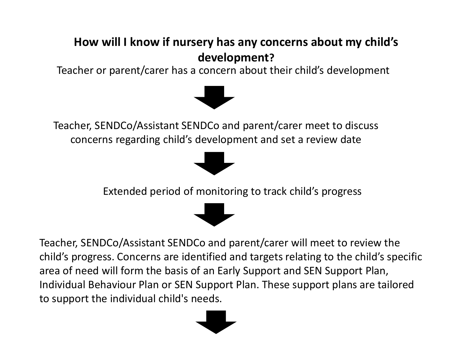# **How will I know if nursery has any concerns about my child's development?**

Teacher or parent/carer has a concern about their child's development



Teacher, SENDCo/Assistant SENDCo and parent/carer meet to discuss concerns regarding child's development and set a review date



Extended period of monitoring to track child's progress

Teacher, SENDCo/Assistant SENDCo and parent/carer will meet to review the child's progress. Concerns are identified and targets relating to the child's specific area of need will form the basis of an Early Support and SEN Support Plan, Individual Behaviour Plan or SEN Support Plan. These support plans are tailored to support the individual child's needs.

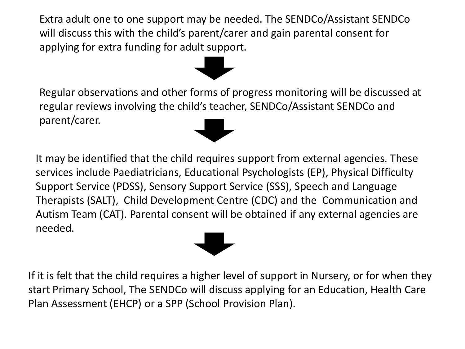Extra adult one to one support may be needed. The SENDCo/Assistant SENDCo will discuss this with the child's parent/carer and gain parental consent for applying for extra funding for adult support.

Regular observations and other forms of progress monitoring will be discussed at regular reviews involving the child's teacher, SENDCo/Assistant SENDCo and parent/carer.

It may be identified that the child requires support from external agencies. These services include Paediatricians, Educational Psychologists (EP), Physical Difficulty Support Service (PDSS), Sensory Support Service (SSS), Speech and Language Therapists (SALT), Child Development Centre (CDC) and the Communication and Autism Team (CAT). Parental consent will be obtained if any external agencies are needed.

If it is felt that the child requires a higher level of support in Nursery, or for when they start Primary School, The SENDCo will discuss applying for an Education, Health Care Plan Assessment (EHCP) or a SPP (School Provision Plan).



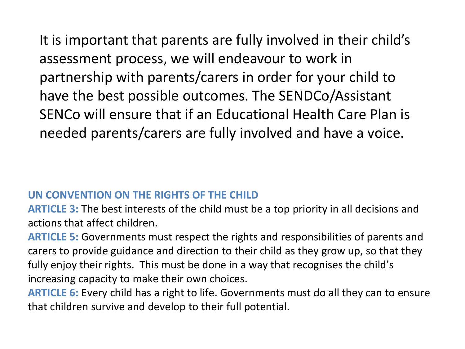It is important that parents are fully involved in their child's assessment process, we will endeavour to work in partnership with parents/carers in order for your child to have the best possible outcomes. The SENDCo/Assistant SENCo will ensure that if an Educational Health Care Plan is needed parents/carers are fully involved and have a voice.

### **UN CONVENTION ON THE RIGHTS OF THE CHILD**

**ARTICLE 3:** The best interests of the child must be a top priority in all decisions and actions that affect children.

**ARTICLE 5:** Governments must respect the rights and responsibilities of parents and carers to provide guidance and direction to their child as they grow up, so that they fully enjoy their rights. This must be done in a way that recognises the child's increasing capacity to make their own choices.

**ARTICLE 6:** Every child has a right to life. Governments must do all they can to ensure that children survive and develop to their full potential.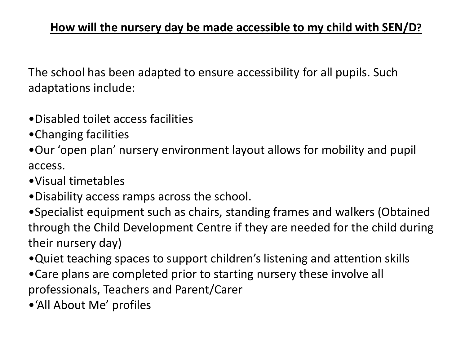The school has been adapted to ensure accessibility for all pupils. Such adaptations include:

- •Disabled toilet access facilities
- •Changing facilities
- •Our 'open plan' nursery environment layout allows for mobility and pupil access.
- •Visual timetables
- •Disability access ramps across the school.
- •Specialist equipment such as chairs, standing frames and walkers (Obtained through the Child Development Centre if they are needed for the child during their nursery day)
- •Quiet teaching spaces to support children's listening and attention skills
- •Care plans are completed prior to starting nursery these involve all professionals, Teachers and Parent/Carer
- •'All About Me' profiles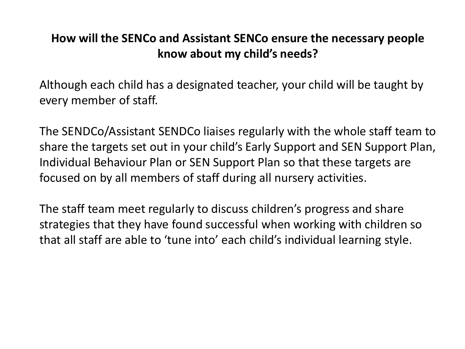## **How will the SENCo and Assistant SENCo ensure the necessary people know about my child's needs?**

Although each child has a designated teacher, your child will be taught by every member of staff.

The SENDCo/Assistant SENDCo liaises regularly with the whole staff team to share the targets set out in your child's Early Support and SEN Support Plan, Individual Behaviour Plan or SEN Support Plan so that these targets are focused on by all members of staff during all nursery activities.

The staff team meet regularly to discuss children's progress and share strategies that they have found successful when working with children so that all staff are able to 'tune into' each child's individual learning style.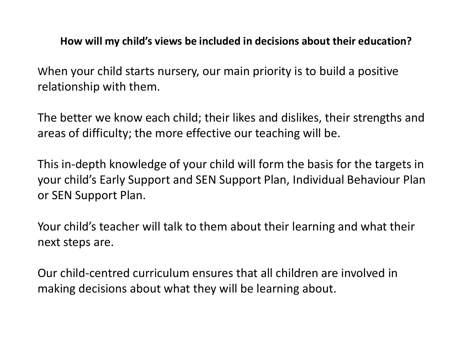#### **How will my child's views be included in decisions about their education?**

When your child starts nursery, our main priority is to build a positive relationship with them.

The better we know each child; their likes and dislikes, their strengths and areas of difficulty; the more effective our teaching will be.

This in-depth knowledge of your child will form the basis for the targets in your child's Early Support and SEN Support Plan, Individual Behaviour Plan or SEN Support Plan.

Your child's teacher will talk to them about their learning and what their next steps are.

Our child-centred curriculum ensures that all children are involved in making decisions about what they will be learning about.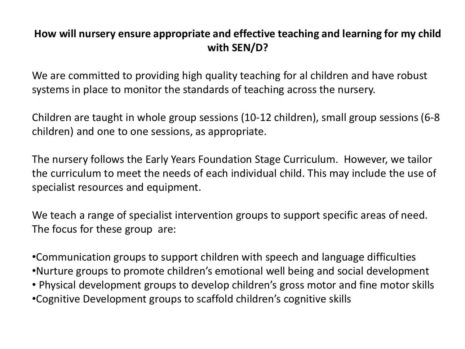## **How will nursery ensure appropriate and effective teaching and learning for my child with SEN/D?**

We are committed to providing high quality teaching for al children and have robust systems in place to monitor the standards of teaching across the nursery.

Children are taught in whole group sessions (10-12 children), small group sessions (6-8 children) and one to one sessions, as appropriate.

The nursery follows the Early Years Foundation Stage Curriculum. However, we tailor the curriculum to meet the needs of each individual child. This may include the use of specialist resources and equipment.

We teach a range of specialist intervention groups to support specific areas of need. The focus for these group are:

•Communication groups to support children with speech and language difficulties •Nurture groups to promote children's emotional well being and social development • Physical development groups to develop children's gross motor and fine motor skills •Cognitive Development groups to scaffold children's cognitive skills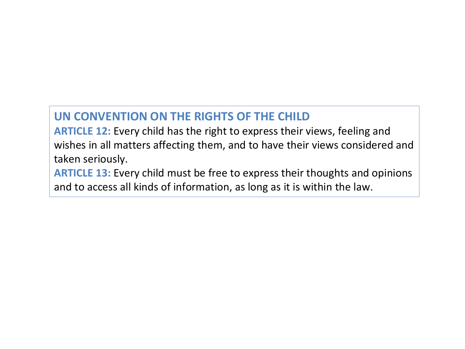## **UN CONVENTION ON THE RIGHTS OF THE CHILD**

**ARTICLE 12:** Every child has the right to express their views, feeling and wishes in all matters affecting them, and to have their views considered and taken seriously.

**ARTICLE 13:** Every child must be free to express their thoughts and opinions and to access all kinds of information, as long as it is within the law.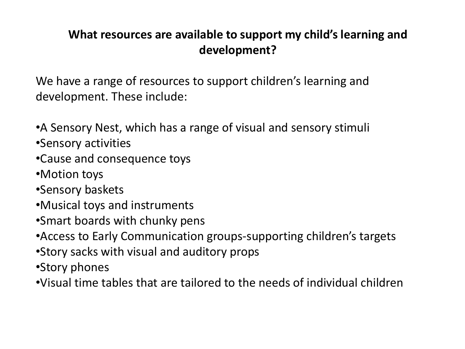## **What resources are available to support my child's learning and development?**

We have a range of resources to support children's learning and development. These include:

- •A Sensory Nest, which has a range of visual and sensory stimuli •Sensory activities
- •Cause and consequence toys
- •Motion toys
- •Sensory baskets
- •Musical toys and instruments
- •Smart boards with chunky pens
- •Access to Early Communication groups-supporting children's targets
- •Story sacks with visual and auditory props
- •Story phones
- •Visual time tables that are tailored to the needs of individual children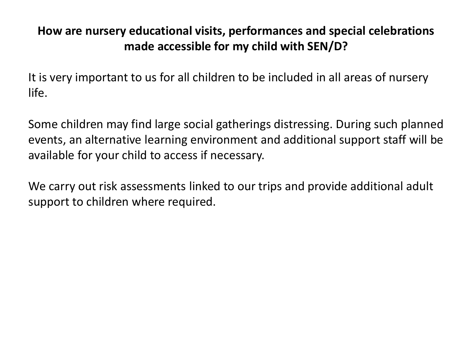## **How are nursery educational visits, performances and special celebrations made accessible for my child with SEN/D?**

It is very important to us for all children to be included in all areas of nursery life.

Some children may find large social gatherings distressing. During such planned events, an alternative learning environment and additional support staff will be available for your child to access if necessary.

We carry out risk assessments linked to our trips and provide additional adult support to children where required.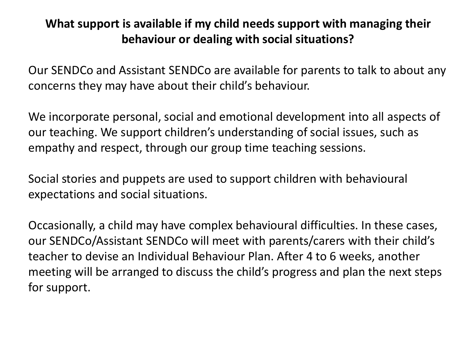## **What support is available if my child needs support with managing their behaviour or dealing with social situations?**

Our SENDCo and Assistant SENDCo are available for parents to talk to about any concerns they may have about their child's behaviour.

We incorporate personal, social and emotional development into all aspects of our teaching. We support children's understanding of social issues, such as empathy and respect, through our group time teaching sessions.

Social stories and puppets are used to support children with behavioural expectations and social situations.

Occasionally, a child may have complex behavioural difficulties. In these cases, our SENDCo/Assistant SENDCo will meet with parents/carers with their child's teacher to devise an Individual Behaviour Plan. After 4 to 6 weeks, another meeting will be arranged to discuss the child's progress and plan the next steps for support.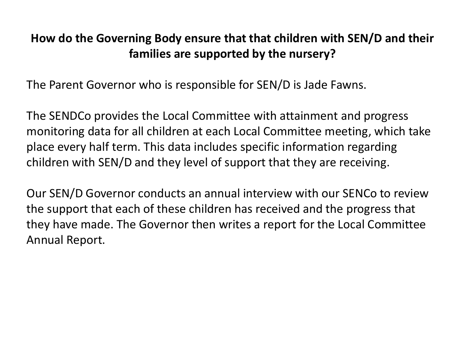## **How do the Governing Body ensure that that children with SEN/D and their families are supported by the nursery?**

The Parent Governor who is responsible for SEN/D is Jade Fawns.

The SENDCo provides the Local Committee with attainment and progress monitoring data for all children at each Local Committee meeting, which take place every half term. This data includes specific information regarding children with SEN/D and they level of support that they are receiving.

Our SEN/D Governor conducts an annual interview with our SENCo to review the support that each of these children has received and the progress that they have made. The Governor then writes a report for the Local Committee Annual Report.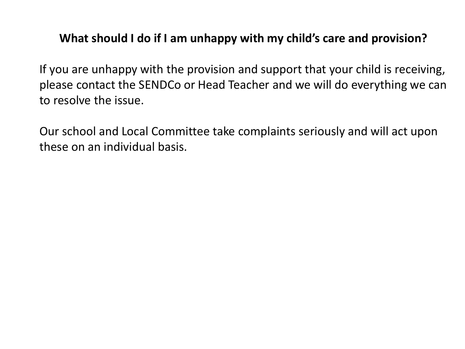## **What should I do if I am unhappy with my child's care and provision?**

If you are unhappy with the provision and support that your child is receiving, please contact the SENDCo or Head Teacher and we will do everything we can to resolve the issue.

Our school and Local Committee take complaints seriously and will act upon these on an individual basis.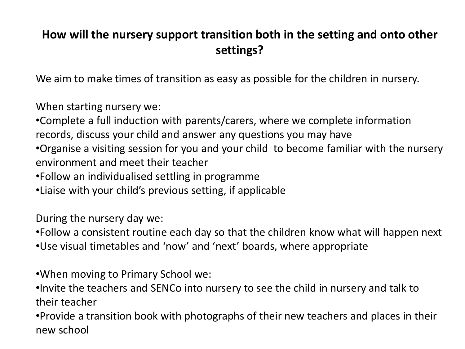## **How will the nursery support transition both in the setting and onto other settings?**

We aim to make times of transition as easy as possible for the children in nursery.

When starting nursery we:

•Complete a full induction with parents/carers, where we complete information records, discuss your child and answer any questions you may have

- •Organise a visiting session for you and your child to become familiar with the nursery environment and meet their teacher
- •Follow an individualised settling in programme
- •Liaise with your child's previous setting, if applicable

During the nursery day we:

•Follow a consistent routine each day so that the children know what will happen next

•Use visual timetables and 'now' and 'next' boards, where appropriate

•When moving to Primary School we:

•Invite the teachers and SENCo into nursery to see the child in nursery and talk to their teacher

•Provide a transition book with photographs of their new teachers and places in their new school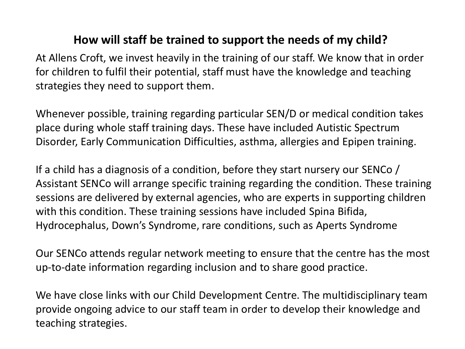## **How will staff be trained to support the needs of my child?**

At Allens Croft, we invest heavily in the training of our staff. We know that in order for children to fulfil their potential, staff must have the knowledge and teaching strategies they need to support them.

Whenever possible, training regarding particular SEN/D or medical condition takes place during whole staff training days. These have included Autistic Spectrum Disorder, Early Communication Difficulties, asthma, allergies and Epipen training.

If a child has a diagnosis of a condition, before they start nursery our SENCo / Assistant SENCo will arrange specific training regarding the condition. These training sessions are delivered by external agencies, who are experts in supporting children with this condition. These training sessions have included Spina Bifida, Hydrocephalus, Down's Syndrome, rare conditions, such as Aperts Syndrome

Our SENCo attends regular network meeting to ensure that the centre has the most up-to-date information regarding inclusion and to share good practice.

We have close links with our Child Development Centre. The multidisciplinary team provide ongoing advice to our staff team in order to develop their knowledge and teaching strategies.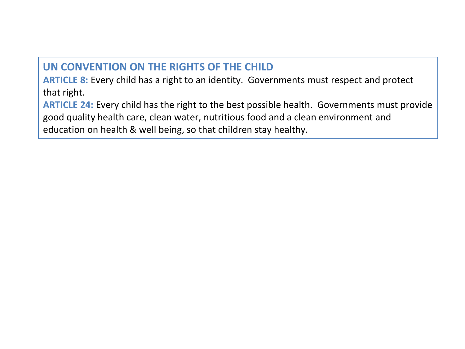#### **UN CONVENTION ON THE RIGHTS OF THE CHILD**

**ARTICLE 8:** Every child has a right to an identity. Governments must respect and protect that right.

**ARTICLE 24:** Every child has the right to the best possible health. Governments must provide good quality health care, clean water, nutritious food and a clean environment and education on health & well being, so that children stay healthy.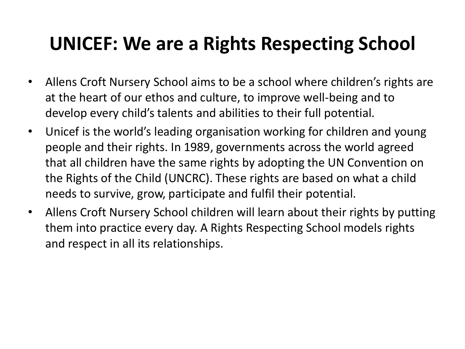# **UNICEF: We are a Rights Respecting School**

- Allens Croft Nursery School aims to be a school where children's rights are at the heart of our ethos and culture, to improve well-being and to develop every child's talents and abilities to their full potential.
- Unicef is the world's leading organisation working for children and young people and their rights. In 1989, governments across the world agreed that all children have the same rights by adopting the UN Convention on the Rights of the Child (UNCRC). These rights are based on what a child needs to survive, grow, participate and fulfil their potential.
- Allens Croft Nursery School children will learn about their rights by putting them into practice every day. A Rights Respecting School models rights and respect in all its relationships.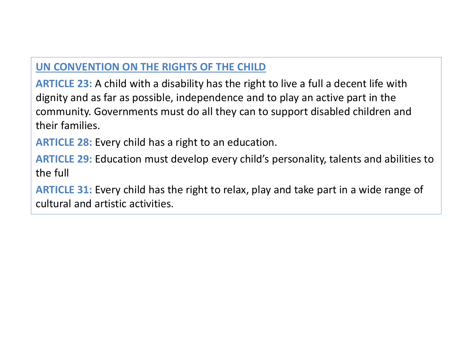## **UN CONVENTION ON THE RIGHTS OF THE CHILD**

**ARTICLE 23:** A child with a disability has the right to live a full a decent life with dignity and as far as possible, independence and to play an active part in the community. Governments must do all they can to support disabled children and their families.

**ARTICLE 28:** Every child has a right to an education.

**ARTICLE 29:** Education must develop every child's personality, talents and abilities to the full

**ARTICLE 31:** Every child has the right to relax, play and take part in a wide range of cultural and artistic activities.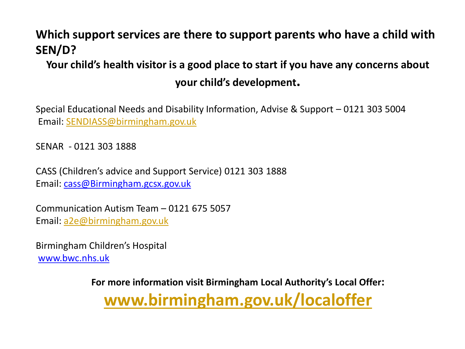## **Which support services are there to support parents who have a child with SEN/D?**

# **Your child's health visitor is a good place to start if you have any concerns about your child's development.**

Special Educational Needs and Disability Information, Advise & Support – 0121 303 5004 Email: [SENDIASS@birmingham.gov.uk](mailto:SENDIASS@birmingham.gov.uk)

SENAR - 0121 303 1888

CASS (Children's advice and Support Service) 0121 303 1888 Email: cass@Birmingham.gcsx.gov.uk

Communication Autism Team – 0121 675 5057 Email: [a2e@birmingham.gov.uk](mailto:a2e@birmingham.gov.uk)

Birmingham Children's Hospital www.bwc.nhs.uk

> **For more information visit Birmingham Local Authority's Local Offer: [www.birmingham.gov.uk/localoffer](http://www.birmingham.gov.uk/localoffer)**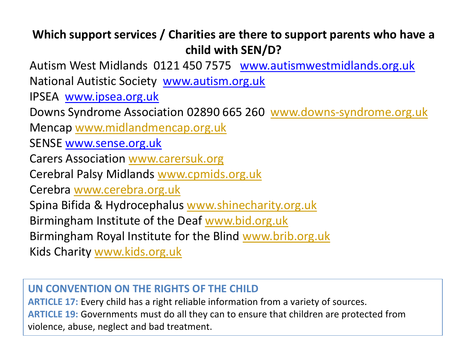# **Which support services / Charities are there to support parents who have a child with SEN/D?**

Autism West Midlands 0121 450 7575 www.autismwestmidlands.org.uk National Autistic Society www.autism.org.uk

IPSEA www.ipsea.org.uk

Downs Syndrome Association 02890 665 260 [www.downs-syndrome.org.uk](http://www.downs-syndrome.org.uk/)

Mencap [www.midlandmencap.org.uk](http://www.midlandmencap.org.uk/)

SENSE www.sense.org.uk

Carers Association [www.carersuk.org](http://www.carersuk.org/)

Cerebral Palsy Midlands [www.cpmids.org.uk](http://www.cpmids.org.uk/)

Cerebra [www.cerebra.org.uk](http://www.cerebra.org.uk/)

Spina Bifida & Hydrocephalus [www.shinecharity.org.uk](http://www.shinecharity.org.uk/)

Birmingham Institute of the Deaf [www.bid.org.uk](http://www.bid.org.uk/)

Birmingham Royal Institute for the Blind [www.brib.org.uk](http://www.brib.org.uk/)

Kids Charity [www.kids.org.uk](http://www.kids.org.uk/)

### **UN CONVENTION ON THE RIGHTS OF THE CHILD**

**ARTICLE 17:** Every child has a right reliable information from a variety of sources. **ARTICLE 19:** Governments must do all they can to ensure that children are protected from violence, abuse, neglect and bad treatment.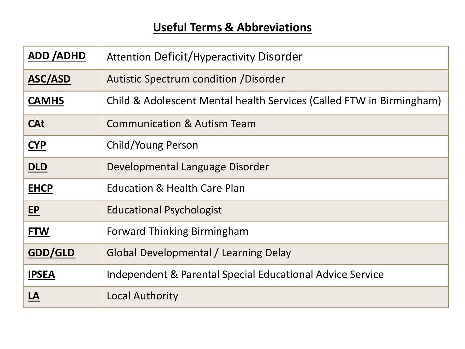# **Useful Terms & Abbreviations**

| <b>ADD/ADHD</b> | <b>Attention Deficit/Hyperactivity Disorder</b>                      |
|-----------------|----------------------------------------------------------------------|
| <b>ASC/ASD</b>  | Autistic Spectrum condition / Disorder                               |
| <b>CAMHS</b>    | Child & Adolescent Mental health Services (Called FTW in Birmingham) |
| <u>CAt</u>      | <b>Communication &amp; Autism Team</b>                               |
| <b>CYP</b>      | Child/Young Person                                                   |
| DLD             | Developmental Language Disorder                                      |
| <b>EHCP</b>     | <b>Education &amp; Health Care Plan</b>                              |
| <b>EP</b>       | <b>Educational Psychologist</b>                                      |
| <b>FTW</b>      | <b>Forward Thinking Birmingham</b>                                   |
| GDD/GLD         | Global Developmental / Learning Delay                                |
| <b>IPSEA</b>    | <b>Independent &amp; Parental Special Educational Advice Service</b> |
| <u>LA</u>       | <b>Local Authority</b>                                               |